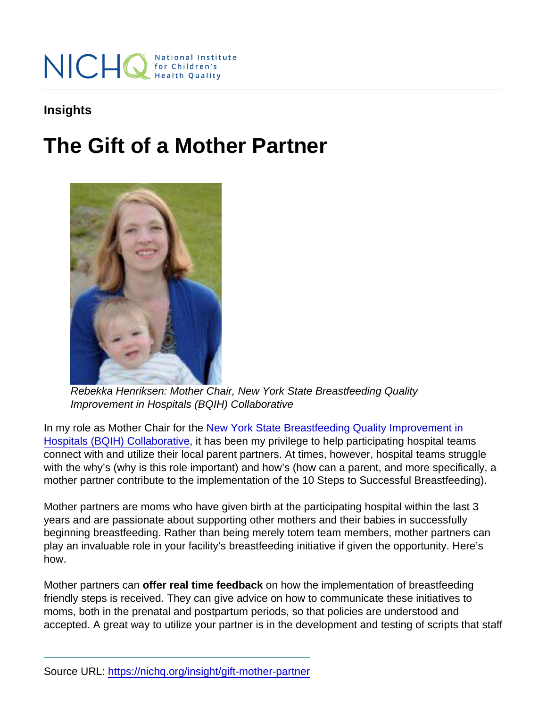Insights

## The Gift of a Mother Partner

Rebekka Henriksen: Mother Chair, New York State Breastfeeding Quality Improvement in Hospitals (BQIH) Collaborative

In my role as Mother Chair for the [New York State Breastfeeding Quality Improvement in](https://nichq.org/project/new-york-state-breastfeeding-quality-improvement-hospitals-bqih-collaborative) [Hospitals \(BQIH\) Collaborative](https://nichq.org/project/new-york-state-breastfeeding-quality-improvement-hospitals-bqih-collaborative), it has been my privilege to help participating hospital teams connect with and utilize their local parent partners. At times, however, hospital teams struggle with the why's (why is this role important) and how's (how can a parent, and more specifically, a mother partner contribute to the implementation of the 10 Steps to Successful Breastfeeding).

Mother partners are moms who have given birth at the participating hospital within the last 3 years and are passionate about supporting other mothers and their babies in successfully beginning breastfeeding. Rather than being merely totem team members, mother partners can play an invaluable role in your facility's breastfeeding initiative if given the opportunity. Here's how.

Mother partners can offer real time feedback on how the implementation of breastfeeding friendly steps is received. They can give advice on how to communicate these initiatives to moms, both in the prenatal and postpartum periods, so that policies are understood and accepted. A great way to utilize your partner is in the development and testing of scripts that staff

Source URL:<https://nichq.org/insight/gift-mother-partner>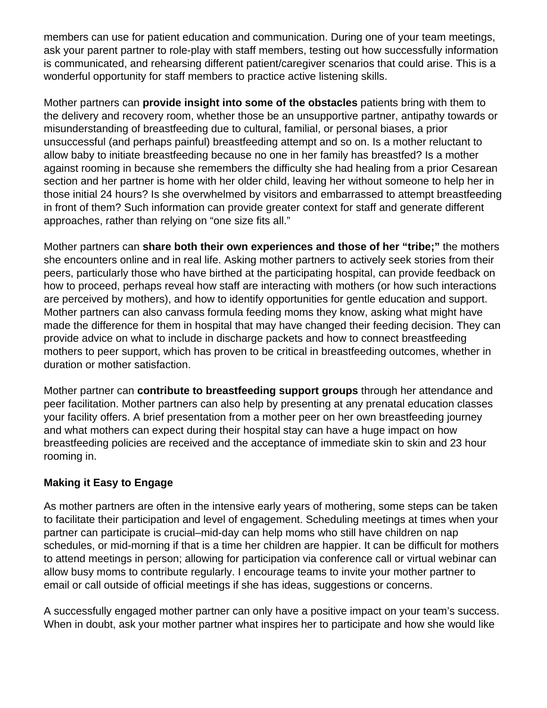members can use for patient education and communication. During one of your team meetings, ask your parent partner to role-play with staff members, testing out how successfully information is communicated, and rehearsing different patient/caregiver scenarios that could arise. This is a wonderful opportunity for staff members to practice active listening skills.

Mother partners can **provide insight into some of the obstacles** patients bring with them to the delivery and recovery room, whether those be an unsupportive partner, antipathy towards or misunderstanding of breastfeeding due to cultural, familial, or personal biases, a prior unsuccessful (and perhaps painful) breastfeeding attempt and so on. Is a mother reluctant to allow baby to initiate breastfeeding because no one in her family has breastfed? Is a mother against rooming in because she remembers the difficulty she had healing from a prior Cesarean section and her partner is home with her older child, leaving her without someone to help her in those initial 24 hours? Is she overwhelmed by visitors and embarrassed to attempt breastfeeding in front of them? Such information can provide greater context for staff and generate different approaches, rather than relying on "one size fits all."

Mother partners can **share both their own experiences and those of her "tribe;"** the mothers she encounters online and in real life. Asking mother partners to actively seek stories from their peers, particularly those who have birthed at the participating hospital, can provide feedback on how to proceed, perhaps reveal how staff are interacting with mothers (or how such interactions are perceived by mothers), and how to identify opportunities for gentle education and support. Mother partners can also canvass formula feeding moms they know, asking what might have made the difference for them in hospital that may have changed their feeding decision. They can provide advice on what to include in discharge packets and how to connect breastfeeding mothers to peer support, which has proven to be critical in breastfeeding outcomes, whether in duration or mother satisfaction.

Mother partner can **contribute to breastfeeding support groups** through her attendance and peer facilitation. Mother partners can also help by presenting at any prenatal education classes your facility offers. A brief presentation from a mother peer on her own breastfeeding journey and what mothers can expect during their hospital stay can have a huge impact on how breastfeeding policies are received and the acceptance of immediate skin to skin and 23 hour rooming in.

## **Making it Easy to Engage**

As mother partners are often in the intensive early years of mothering, some steps can be taken to facilitate their participation and level of engagement. Scheduling meetings at times when your partner can participate is crucial–mid-day can help moms who still have children on nap schedules, or mid-morning if that is a time her children are happier. It can be difficult for mothers to attend meetings in person; allowing for participation via conference call or virtual webinar can allow busy moms to contribute regularly. I encourage teams to invite your mother partner to email or call outside of official meetings if she has ideas, suggestions or concerns.

A successfully engaged mother partner can only have a positive impact on your team's success. When in doubt, ask your mother partner what inspires her to participate and how she would like